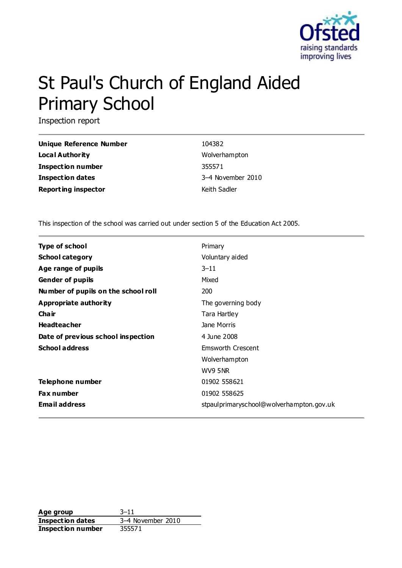

# St Paul's Church of England Aided Primary School

Inspection report

| Unique Reference Number    | 104382            |
|----------------------------|-------------------|
| Local Authority            | Wolverhampton     |
| <b>Inspection number</b>   | 355571            |
| <b>Inspection dates</b>    | 3-4 November 2010 |
| <b>Reporting inspector</b> | Keith Sadler      |

This inspection of the school was carried out under section 5 of the Education Act 2005.

| <b>Type of school</b>               | Primary                                   |
|-------------------------------------|-------------------------------------------|
| <b>School category</b>              | Voluntary aided                           |
| Age range of pupils                 | $3 - 11$                                  |
| <b>Gender of pupils</b>             | Mixed                                     |
| Number of pupils on the school roll | 200                                       |
| Appropriate authority               | The governing body                        |
| Cha ir                              | Tara Hartley                              |
| <b>Headteacher</b>                  | Jane Morris                               |
| Date of previous school inspection  | 4 June 2008                               |
| <b>School address</b>               | Emsworth Crescent                         |
|                                     | Wolverhampton                             |
|                                     | WV9 5NR                                   |
| Telephone number                    | 01902 558621                              |
| <b>Fax number</b>                   | 01902 558625                              |
| <b>Email address</b>                | stpaul primaryschool@wolverhampton.gov.uk |

**Age group** 3–11 **Inspection dates** 3–4 November 2010 **Inspection number** 355571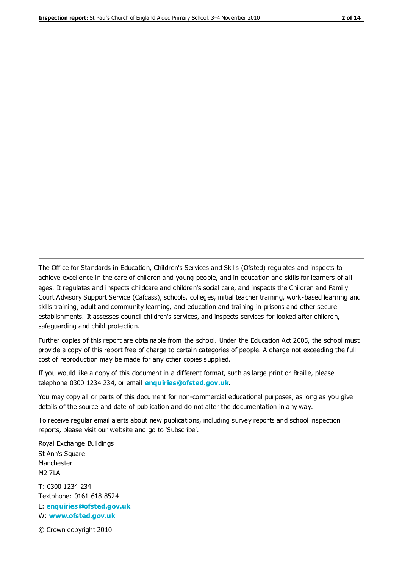The Office for Standards in Education, Children's Services and Skills (Ofsted) regulates and inspects to achieve excellence in the care of children and young people, and in education and skills for learners of all ages. It regulates and inspects childcare and children's social care, and inspects the Children and Family Court Advisory Support Service (Cafcass), schools, colleges, initial teacher training, work-based learning and skills training, adult and community learning, and education and training in prisons and other secure establishments. It assesses council children's services, and inspects services for looked after children, safeguarding and child protection.

Further copies of this report are obtainable from the school. Under the Education Act 2005, the school must provide a copy of this report free of charge to certain categories of people. A charge not exceeding the full cost of reproduction may be made for any other copies supplied.

If you would like a copy of this document in a different format, such as large print or Braille, please telephone 0300 1234 234, or email **[enquiries@ofsted.gov.uk](mailto:enquiries@ofsted.gov.uk)**.

You may copy all or parts of this document for non-commercial educational purposes, as long as you give details of the source and date of publication and do not alter the documentation in any way.

To receive regular email alerts about new publications, including survey reports and school inspection reports, please visit our website and go to 'Subscribe'.

Royal Exchange Buildings St Ann's Square Manchester M2 7LA T: 0300 1234 234 Textphone: 0161 618 8524 E: **[enquiries@ofsted.gov.uk](mailto:enquiries@ofsted.gov.uk)**

W: **[www.ofsted.gov.uk](http://www.ofsted.gov.uk/)**

© Crown copyright 2010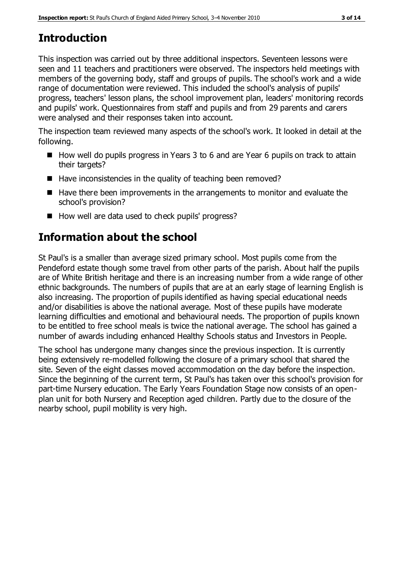# **Introduction**

This inspection was carried out by three additional inspectors. Seventeen lessons were seen and 11 teachers and practitioners were observed. The inspectors held meetings with members of the governing body, staff and groups of pupils. The school's work and a wide range of documentation were reviewed. This included the school's analysis of pupils' progress, teachers' lesson plans, the school improvement plan, leaders' monitoring records and pupils' work. Questionnaires from staff and pupils and from 29 parents and carers were analysed and their responses taken into account.

The inspection team reviewed many aspects of the school's work. It looked in detail at the following.

- $\blacksquare$  How well do pupils progress in Years 3 to 6 and are Year 6 pupils on track to attain their targets?
- $\blacksquare$  Have inconsistencies in the quality of teaching been removed?
- Have there been improvements in the arrangements to monitor and evaluate the school's provision?
- How well are data used to check pupils' progress?

# **Information about the school**

St Paul's is a smaller than average sized primary school. Most pupils come from the Pendeford estate though some travel from other parts of the parish. About half the pupils are of White British heritage and there is an increasing number from a wide range of other ethnic backgrounds. The numbers of pupils that are at an early stage of learning English is also increasing. The proportion of pupils identified as having special educational needs and/or disabilities is above the national average. Most of these pupils have moderate learning difficulties and emotional and behavioural needs. The proportion of pupils known to be entitled to free school meals is twice the national average. The school has gained a number of awards including enhanced Healthy Schools status and Investors in People.

The school has undergone many changes since the previous inspection. It is currently being extensively re-modelled following the closure of a primary school that shared the site. Seven of the eight classes moved accommodation on the day before the inspection. Since the beginning of the current term, St Paul's has taken over this school's provision for part-time Nursery education. The Early Years Foundation Stage now consists of an openplan unit for both Nursery and Reception aged children. Partly due to the closure of the nearby school, pupil mobility is very high.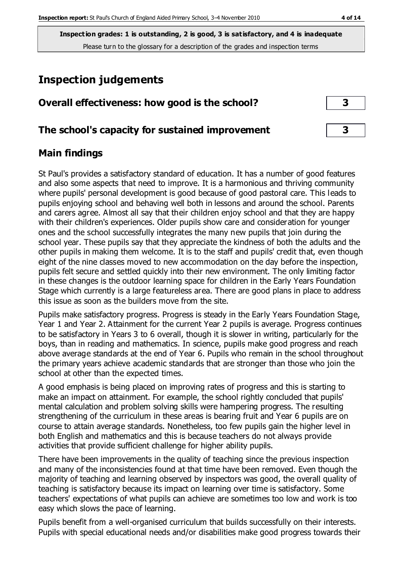# **Inspection judgements**

| Overall effectiveness: how good is the school? |  |
|------------------------------------------------|--|
|------------------------------------------------|--|

## **The school's capacity for sustained improvement 3**

## **Main findings**

St Paul's provides a satisfactory standard of education. It has a number of good features and also some aspects that need to improve. It is a harmonious and thriving community where pupils' personal development is good because of good pastoral care. This leads to pupils enjoying school and behaving well both in lessons and around the school. Parents and carers agree. Almost all say that their children enjoy school and that they are happy with their children's experiences. Older pupils show care and consideration for younger ones and the school successfully integrates the many new pupils that join during the school year. These pupils say that they appreciate the kindness of both the adults and the other pupils in making them welcome. It is to the staff and pupils' credit that, even though eight of the nine classes moved to new accommodation on the day before the inspection, pupils felt secure and settled quickly into their new environment. The only limiting factor in these changes is the outdoor learning space for children in the Early Years Foundation Stage which currently is a large featureless area. There are good plans in place to address this issue as soon as the builders move from the site.

Pupils make satisfactory progress. Progress is steady in the Early Years Foundation Stage, Year 1 and Year 2. Attainment for the current Year 2 pupils is average. Progress continues to be satisfactory in Years 3 to 6 overall, though it is slower in writing, particularly for the boys, than in reading and mathematics. In science, pupils make good progress and reach above average standards at the end of Year 6. Pupils who remain in the school throughout the primary years achieve academic standards that are stronger than those who join the school at other than the expected times.

A good emphasis is being placed on improving rates of progress and this is starting to make an impact on attainment. For example, the school rightly concluded that pupils' mental calculation and problem solving skills were hampering progress. The resulting strengthening of the curriculum in these areas is bearing fruit and Year 6 pupils are on course to attain average standards. Nonetheless, too few pupils gain the higher level in both English and mathematics and this is because teachers do not always provide activities that provide sufficient challenge for higher ability pupils.

There have been improvements in the quality of teaching since the previous inspection and many of the inconsistencies found at that time have been removed. Even though the majority of teaching and learning observed by inspectors was good, the overall quality of teaching is satisfactory because its impact on learning over time is satisfactory. Some teachers' expectations of what pupils can achieve are sometimes too low and work is too easy which slows the pace of learning.

Pupils benefit from a well-organised curriculum that builds successfully on their interests. Pupils with special educational needs and/or disabilities make good progress towards their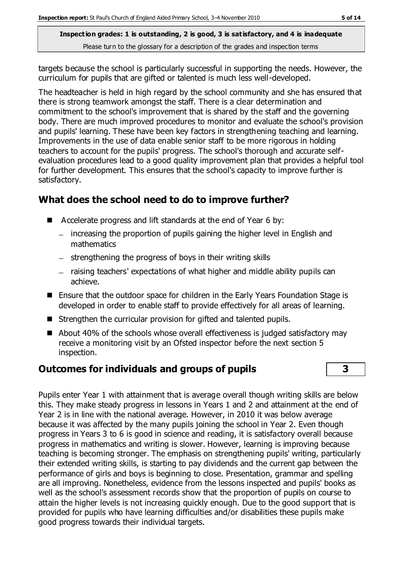targets because the school is particularly successful in supporting the needs. However, the curriculum for pupils that are gifted or talented is much less well-developed.

The headteacher is held in high regard by the school community and she has ensured that there is strong teamwork amongst the staff. There is a clear determination and commitment to the school's improvement that is shared by the staff and the governing body. There are much improved procedures to monitor and evaluate the school's provision and pupils' learning. These have been key factors in strengthening teaching and learning. Improvements in the use of data enable senior staff to be more rigorous in holding teachers to account for the pupils' progress. The school's thorough and accurate selfevaluation procedures lead to a good quality improvement plan that provides a helpful tool for further development. This ensures that the school's capacity to improve further is satisfactory.

# **What does the school need to do to improve further?**

- Accelerate progress and lift standards at the end of Year 6 by:
	- increasing the proportion of pupils gaining the higher level in English and mathematics
	- strengthening the progress of boys in their writing skills
	- raising teachers' expectations of what higher and middle ability pupils can achieve.
- Ensure that the outdoor space for children in the Early Years Foundation Stage is developed in order to enable staff to provide effectively for all areas of learning.
- Strengthen the curricular provision for gifted and talented pupils.
- About 40% of the schools whose overall effectiveness is judged satisfactory may receive a monitoring visit by an Ofsted inspector before the next section 5 inspection.

# **Outcomes for individuals and groups of pupils 3**

Pupils enter Year 1 with attainment that is average overall though writing skills are below this. They make steady progress in lessons in Years 1 and 2 and attainment at the end of Year 2 is in line with the national average. However, in 2010 it was below average because it was affected by the many pupils joining the school in Year 2. Even though progress in Years 3 to 6 is good in science and reading, it is satisfactory overall because progress in mathematics and writing is slower. However, learning is improving because teaching is becoming stronger. The emphasis on strengthening pupils' writing, particularly their extended writing skills, is starting to pay dividends and the current gap between the performance of girls and boys is beginning to close. Presentation, grammar and spelling are all improving. Nonetheless, evidence from the lessons inspected and pupils' books as well as the school's assessment records show that the proportion of pupils on course to attain the higher levels is not increasing quickly enough. Due to the good support that is provided for pupils who have learning difficulties and/or disabilities these pupils make good progress towards their individual targets.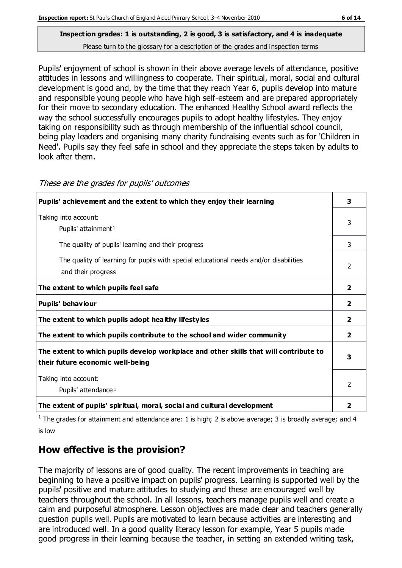Pupils' enjoyment of school is shown in their above average levels of attendance, positive attitudes in lessons and willingness to cooperate. Their spiritual, moral, social and cultural development is good and, by the time that they reach Year 6, pupils develop into mature and responsible young people who have high self-esteem and are prepared appropriately for their move to secondary education. The enhanced Healthy School award reflects the way the school successfully encourages pupils to adopt healthy lifestyles. They enjoy taking on responsibility such as through membership of the influential school council, being play leaders and organising many charity fundraising events such as for 'Children in Need'. Pupils say they feel safe in school and they appreciate the steps taken by adults to

look after them.

| Pupils' achievement and the extent to which they enjoy their learning                                                     | 3                       |
|---------------------------------------------------------------------------------------------------------------------------|-------------------------|
| Taking into account:<br>Pupils' attainment <sup>1</sup>                                                                   | 3                       |
| The quality of pupils' learning and their progress                                                                        | 3                       |
| The quality of learning for pupils with special educational needs and/or disabilities<br>and their progress               | 2                       |
| The extent to which pupils feel safe                                                                                      | $\overline{\mathbf{2}}$ |
| Pupils' behaviour                                                                                                         | $\overline{\mathbf{2}}$ |
| The extent to which pupils adopt healthy lifestyles                                                                       | $\overline{2}$          |
| The extent to which pupils contribute to the school and wider community                                                   | $\overline{2}$          |
| The extent to which pupils develop workplace and other skills that will contribute to<br>their future economic well-being | 3                       |
| Taking into account:<br>Pupils' attendance <sup>1</sup>                                                                   | $\mathfrak{p}$          |
| The extent of pupils' spiritual, moral, social and cultural development                                                   | 2                       |

These are the grades for pupils' outcomes

<sup>1</sup> The grades for attainment and attendance are: 1 is high; 2 is above average; 3 is broadly average; and 4 is low

# **How effective is the provision?**

The majority of lessons are of good quality. The recent improvements in teaching are beginning to have a positive impact on pupils' progress. Learning is supported well by the pupils' positive and mature attitudes to studying and these are encouraged well by teachers throughout the school. In all lessons, teachers manage pupils well and create a calm and purposeful atmosphere. Lesson objectives are made clear and teachers generally question pupils well. Pupils are motivated to learn because activities are interesting and are introduced well. In a good quality literacy lesson for example, Year 5 pupils made good progress in their learning because the teacher, in setting an extended writing task,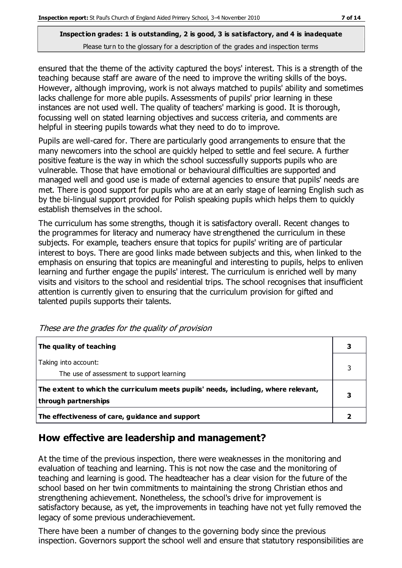ensured that the theme of the activity captured the boys' interest. This is a strength of the teaching because staff are aware of the need to improve the writing skills of the boys. However, although improving, work is not always matched to pupils' ability and sometimes lacks challenge for more able pupils. Assessments of pupils' prior learning in these instances are not used well. The quality of teachers' marking is good. It is thorough, focussing well on stated learning objectives and success criteria, and comments are helpful in steering pupils towards what they need to do to improve.

Pupils are well-cared for. There are particularly good arrangements to ensure that the many newcomers into the school are quickly helped to settle and feel secure. A further positive feature is the way in which the school successfully supports pupils who are vulnerable. Those that have emotional or behavioural difficulties are supported and managed well and good use is made of external agencies to ensure that pupils' needs are met. There is good support for pupils who are at an early stage of learning English such as by the bi-lingual support provided for Polish speaking pupils which helps them to quickly establish themselves in the school.

The curriculum has some strengths, though it is satisfactory overall. Recent changes to the programmes for literacy and numeracy have strengthened the curriculum in these subjects. For example, teachers ensure that topics for pupils' writing are of particular interest to boys. There are good links made between subjects and this, when linked to the emphasis on ensuring that topics are meaningful and interesting to pupils, helps to enliven learning and further engage the pupils' interest. The curriculum is enriched well by many visits and visitors to the school and residential trips. The school recognises that insufficient attention is currently given to ensuring that the curriculum provision for gifted and talented pupils supports their talents.

| The quality of teaching                                                                                    |  |
|------------------------------------------------------------------------------------------------------------|--|
| Taking into account:<br>The use of assessment to support learning                                          |  |
| The extent to which the curriculum meets pupils' needs, including, where relevant,<br>through partnerships |  |
| The effectiveness of care, guidance and support                                                            |  |

These are the grades for the quality of provision

# **How effective are leadership and management?**

At the time of the previous inspection, there were weaknesses in the monitoring and evaluation of teaching and learning. This is not now the case and the monitoring of teaching and learning is good. The headteacher has a clear vision for the future of the school based on her twin commitments to maintaining the strong Christian ethos and strengthening achievement. Nonetheless, the school's drive for improvement is satisfactory because, as yet, the improvements in teaching have not yet fully removed the legacy of some previous underachievement.

There have been a number of changes to the governing body since the previous inspection. Governors support the school well and ensure that statutory responsibilities are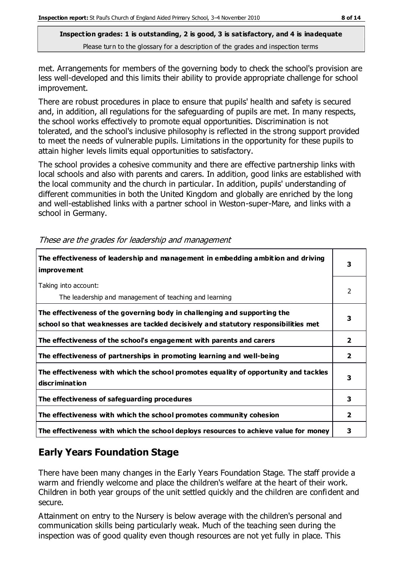met. Arrangements for members of the governing body to check the school's provision are less well-developed and this limits their ability to provide appropriate challenge for school improvement.

There are robust procedures in place to ensure that pupils' health and safety is secured and, in addition, all regulations for the safeguarding of pupils are met. In many respects, the school works effectively to promote equal opportunities. Discrimination is not tolerated, and the school's inclusive philosophy is reflected in the strong support provided to meet the needs of vulnerable pupils. Limitations in the opportunity for these pupils to attain higher levels limits equal opportunities to satisfactory.

The school provides a cohesive community and there are effective partnership links with local schools and also with parents and carers. In addition, good links are established with the local community and the church in particular. In addition, pupils' understanding of different communities in both the United Kingdom and globally are enriched by the long and well-established links with a partner school in Weston-super-Mare, and links with a school in Germany.

| The effectiveness of leadership and management in embedding ambition and driving<br><i>improvement</i>                                                           |                |
|------------------------------------------------------------------------------------------------------------------------------------------------------------------|----------------|
| Taking into account:<br>The leadership and management of teaching and learning                                                                                   | 2              |
| The effectiveness of the governing body in challenging and supporting the<br>school so that weaknesses are tackled decisively and statutory responsibilities met | 3              |
| The effectiveness of the school's engagement with parents and carers                                                                                             | $\mathbf{2}$   |
| The effectiveness of partnerships in promoting learning and well-being                                                                                           | $\overline{2}$ |
| The effectiveness with which the school promotes equality of opportunity and tackles<br>discrimination                                                           | 3              |
| The effectiveness of safeguarding procedures                                                                                                                     | 3              |
| The effectiveness with which the school promotes community cohesion                                                                                              | $\mathbf{2}$   |
| The effectiveness with which the school deploys resources to achieve value for money                                                                             | 3              |

These are the grades for leadership and management

# **Early Years Foundation Stage**

There have been many changes in the Early Years Foundation Stage. The staff provide a warm and friendly welcome and place the children's welfare at the heart of their work. Children in both year groups of the unit settled quickly and the children are confident and secure.

Attainment on entry to the Nursery is below average with the children's personal and communication skills being particularly weak. Much of the teaching seen during the inspection was of good quality even though resources are not yet fully in place. This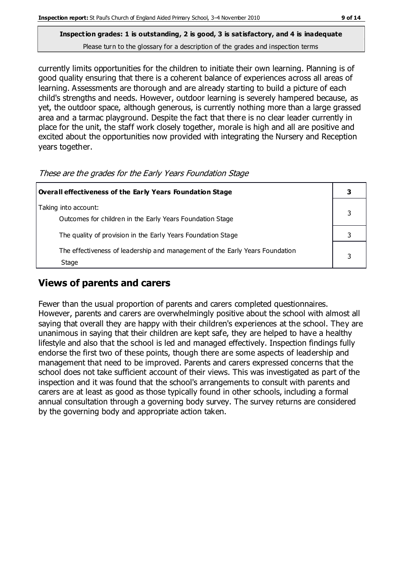currently limits opportunities for the children to initiate their own learning. Planning is of good quality ensuring that there is a coherent balance of experiences across all areas of learning. Assessments are thorough and are already starting to build a picture of each child's strengths and needs. However, outdoor learning is severely hampered because, as yet, the outdoor space, although generous, is currently nothing more than a large grassed area and a tarmac playground. Despite the fact that there is no clear leader currently in place for the unit, the staff work closely together, morale is high and all are positive and excited about the opportunities now provided with integrating the Nursery and Reception years together.

| <b>Overall effectiveness of the Early Years Foundation Stage</b>                      |  |
|---------------------------------------------------------------------------------------|--|
| Taking into account:<br>Outcomes for children in the Early Years Foundation Stage     |  |
| The quality of provision in the Early Years Foundation Stage                          |  |
| The effectiveness of leadership and management of the Early Years Foundation<br>Stage |  |

#### These are the grades for the Early Years Foundation Stage

# **Views of parents and carers**

Fewer than the usual proportion of parents and carers completed questionnaires. However, parents and carers are overwhelmingly positive about the school with almost all saying that overall they are happy with their children's experiences at the school. They are unanimous in saying that their children are kept safe, they are helped to have a healthy lifestyle and also that the school is led and managed effectively. Inspection findings fully endorse the first two of these points, though there are some aspects of leadership and management that need to be improved. Parents and carers expressed concerns that the school does not take sufficient account of their views. This was investigated as part of the inspection and it was found that the school's arrangements to consult with parents and carers are at least as good as those typically found in other schools, including a formal annual consultation through a governing body survey. The survey returns are considered by the governing body and appropriate action taken.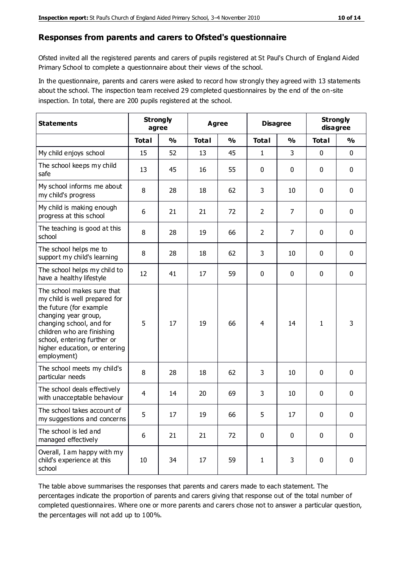#### **Responses from parents and carers to Ofsted's questionnaire**

Ofsted invited all the registered parents and carers of pupils registered at St Paul's Church of England Aided Primary School to complete a questionnaire about their views of the school.

In the questionnaire, parents and carers were asked to record how strongly they agreed with 13 statements about the school. The inspection team received 29 completed questionnaires by the end of the on-site inspection. In total, there are 200 pupils registered at the school.

| <b>Statements</b>                                                                                                                                                                                                                                       | <b>Strongly</b><br>agree |               | Agree        |               | <b>Disagree</b> |                | <b>Strongly</b><br>disagree |               |
|---------------------------------------------------------------------------------------------------------------------------------------------------------------------------------------------------------------------------------------------------------|--------------------------|---------------|--------------|---------------|-----------------|----------------|-----------------------------|---------------|
|                                                                                                                                                                                                                                                         | <b>Total</b>             | $\frac{0}{0}$ | <b>Total</b> | $\frac{0}{0}$ | <b>Total</b>    | $\frac{0}{0}$  | <b>Total</b>                | $\frac{0}{0}$ |
| My child enjoys school                                                                                                                                                                                                                                  | 15                       | 52            | 13           | 45            | 1               | 3              | 0                           | $\mathbf 0$   |
| The school keeps my child<br>safe                                                                                                                                                                                                                       | 13                       | 45            | 16           | 55            | 0               | 0              | 0                           | $\mathbf 0$   |
| My school informs me about<br>my child's progress                                                                                                                                                                                                       | 8                        | 28            | 18           | 62            | 3               | 10             | $\mathbf 0$                 | $\mathbf 0$   |
| My child is making enough<br>progress at this school                                                                                                                                                                                                    | 6                        | 21            | 21           | 72            | $\overline{2}$  | 7              | 0                           | $\mathbf 0$   |
| The teaching is good at this<br>school                                                                                                                                                                                                                  | 8                        | 28            | 19           | 66            | $\overline{2}$  | $\overline{7}$ | 0                           | $\mathbf 0$   |
| The school helps me to<br>support my child's learning                                                                                                                                                                                                   | 8                        | 28            | 18           | 62            | 3               | 10             | 0                           | $\mathbf 0$   |
| The school helps my child to<br>have a healthy lifestyle                                                                                                                                                                                                | 12                       | 41            | 17           | 59            | $\mathbf 0$     | $\mathbf 0$    | 0                           | $\mathbf 0$   |
| The school makes sure that<br>my child is well prepared for<br>the future (for example<br>changing year group,<br>changing school, and for<br>children who are finishing<br>school, entering further or<br>higher education, or entering<br>employment) | 5                        | 17            | 19           | 66            | $\overline{4}$  | 14             | $\mathbf{1}$                | 3             |
| The school meets my child's<br>particular needs                                                                                                                                                                                                         | 8                        | 28            | 18           | 62            | 3               | 10             | $\mathbf 0$                 | $\mathbf 0$   |
| The school deals effectively<br>with unacceptable behaviour                                                                                                                                                                                             | $\overline{4}$           | 14            | 20           | 69            | 3               | 10             | 0                           | $\pmb{0}$     |
| The school takes account of<br>my suggestions and concerns                                                                                                                                                                                              | 5                        | 17            | 19           | 66            | 5               | 17             | 0                           | $\mathbf{0}$  |
| The school is led and<br>managed effectively                                                                                                                                                                                                            | 6                        | 21            | 21           | 72            | $\mathbf 0$     | $\mathbf 0$    | $\mathbf 0$                 | $\mathbf 0$   |
| Overall, I am happy with my<br>child's experience at this<br>school                                                                                                                                                                                     | $10\,$                   | 34            | 17           | 59            | $\mathbf{1}$    | 3              | $\mathbf 0$                 | $\mathbf 0$   |

The table above summarises the responses that parents and carers made to each statement. The percentages indicate the proportion of parents and carers giving that response out of the total number of completed questionnaires. Where one or more parents and carers chose not to answer a particular question, the percentages will not add up to 100%.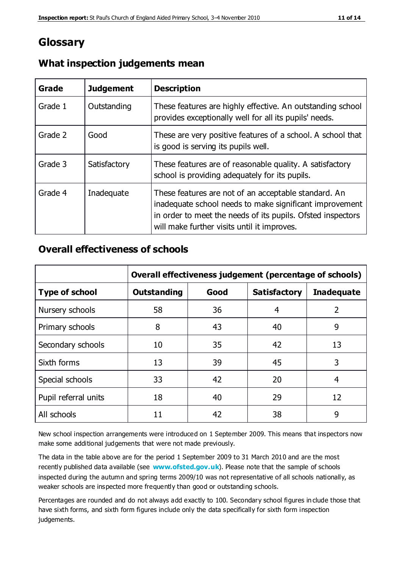# **Glossary**

| Grade   | <b>Judgement</b> | <b>Description</b>                                                                                                                                                                                                            |
|---------|------------------|-------------------------------------------------------------------------------------------------------------------------------------------------------------------------------------------------------------------------------|
| Grade 1 | Outstanding      | These features are highly effective. An outstanding school<br>provides exceptionally well for all its pupils' needs.                                                                                                          |
| Grade 2 | Good             | These are very positive features of a school. A school that<br>is good is serving its pupils well.                                                                                                                            |
| Grade 3 | Satisfactory     | These features are of reasonable quality. A satisfactory<br>school is providing adequately for its pupils.                                                                                                                    |
| Grade 4 | Inadequate       | These features are not of an acceptable standard. An<br>inadequate school needs to make significant improvement<br>in order to meet the needs of its pupils. Ofsted inspectors<br>will make further visits until it improves. |

## **What inspection judgements mean**

## **Overall effectiveness of schools**

|                       | Overall effectiveness judgement (percentage of schools) |      |                     |                   |
|-----------------------|---------------------------------------------------------|------|---------------------|-------------------|
| <b>Type of school</b> | <b>Outstanding</b>                                      | Good | <b>Satisfactory</b> | <b>Inadequate</b> |
| Nursery schools       | 58                                                      | 36   | 4                   | $\overline{2}$    |
| Primary schools       | 8                                                       | 43   | 40                  | 9                 |
| Secondary schools     | 10                                                      | 35   | 42                  | 13                |
| Sixth forms           | 13                                                      | 39   | 45                  | 3                 |
| Special schools       | 33                                                      | 42   | 20                  | 4                 |
| Pupil referral units  | 18                                                      | 40   | 29                  | 12                |
| All schools           | 11                                                      | 42   | 38                  | 9                 |

New school inspection arrangements were introduced on 1 September 2009. This means that inspectors now make some additional judgements that were not made previously.

The data in the table above are for the period 1 September 2009 to 31 March 2010 and are the most recently published data available (see **[www.ofsted.gov.uk](http://www.ofsted.gov.uk/)**). Please note that the sample of schools inspected during the autumn and spring terms 2009/10 was not representative of all schools nationally, as weaker schools are inspected more frequently than good or outstanding schools.

Percentages are rounded and do not always add exactly to 100. Secondary school figures in clude those that have sixth forms, and sixth form figures include only the data specifically for sixth form inspection judgements.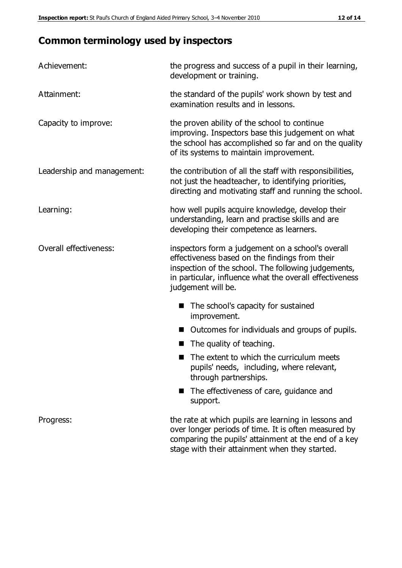# **Common terminology used by inspectors**

| Achievement:               | the progress and success of a pupil in their learning,<br>development or training.                                                                                                                                                          |  |  |
|----------------------------|---------------------------------------------------------------------------------------------------------------------------------------------------------------------------------------------------------------------------------------------|--|--|
| Attainment:                | the standard of the pupils' work shown by test and<br>examination results and in lessons.                                                                                                                                                   |  |  |
| Capacity to improve:       | the proven ability of the school to continue<br>improving. Inspectors base this judgement on what<br>the school has accomplished so far and on the quality<br>of its systems to maintain improvement.                                       |  |  |
| Leadership and management: | the contribution of all the staff with responsibilities,<br>not just the headteacher, to identifying priorities,<br>directing and motivating staff and running the school.                                                                  |  |  |
| Learning:                  | how well pupils acquire knowledge, develop their<br>understanding, learn and practise skills and are<br>developing their competence as learners.                                                                                            |  |  |
| Overall effectiveness:     | inspectors form a judgement on a school's overall<br>effectiveness based on the findings from their<br>inspection of the school. The following judgements,<br>in particular, influence what the overall effectiveness<br>judgement will be. |  |  |
|                            | The school's capacity for sustained<br>improvement.                                                                                                                                                                                         |  |  |
|                            | Outcomes for individuals and groups of pupils.                                                                                                                                                                                              |  |  |
|                            | The quality of teaching.                                                                                                                                                                                                                    |  |  |
|                            | The extent to which the curriculum meets<br>pupils' needs, including, where relevant,<br>through partnerships.                                                                                                                              |  |  |
|                            | The effectiveness of care, guidance and<br>support.                                                                                                                                                                                         |  |  |
| Progress:                  | the rate at which pupils are learning in lessons and<br>over longer periods of time. It is often measured by<br>comparing the pupils' attainment at the end of a key                                                                        |  |  |

stage with their attainment when they started.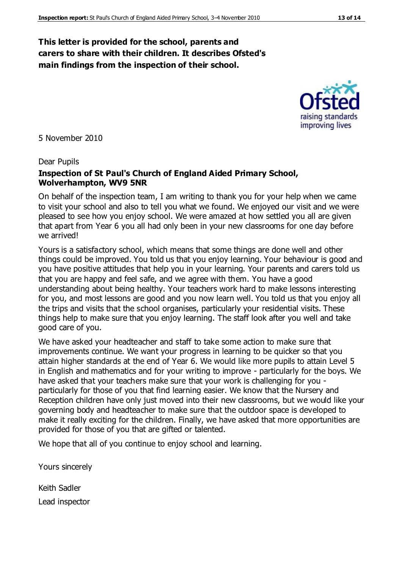### **This letter is provided for the school, parents and carers to share with their children. It describes Ofsted's main findings from the inspection of their school.**

5 November 2010

#### Dear Pupils

#### **Inspection of St Paul's Church of England Aided Primary School, Wolverhampton, WV9 5NR**

On behalf of the inspection team, I am writing to thank you for your help when we came to visit your school and also to tell you what we found. We enjoyed our visit and we were pleased to see how you enjoy school. We were amazed at how settled you all are given that apart from Year 6 you all had only been in your new classrooms for one day before we arrived!

Yours is a satisfactory school, which means that some things are done well and other things could be improved. You told us that you enjoy learning. Your behaviour is good and you have positive attitudes that help you in your learning. Your parents and carers told us that you are happy and feel safe, and we agree with them. You have a good understanding about being healthy. Your teachers work hard to make lessons interesting for you, and most lessons are good and you now learn well. You told us that you enjoy all the trips and visits that the school organises, particularly your residential visits. These things help to make sure that you enjoy learning. The staff look after you well and take good care of you.

We have asked your headteacher and staff to take some action to make sure that improvements continue. We want your progress in learning to be quicker so that you attain higher standards at the end of Year 6. We would like more pupils to attain Level 5 in English and mathematics and for your writing to improve - particularly for the boys. We have asked that your teachers make sure that your work is challenging for you particularly for those of you that find learning easier. We know that the Nursery and Reception children have only just moved into their new classrooms, but we would like your governing body and headteacher to make sure that the outdoor space is developed to make it really exciting for the children. Finally, we have asked that more opportunities are provided for those of you that are gifted or talented.

We hope that all of you continue to enjoy school and learning.

Yours sincerely

Keith Sadler Lead inspector



raising standards improving lives